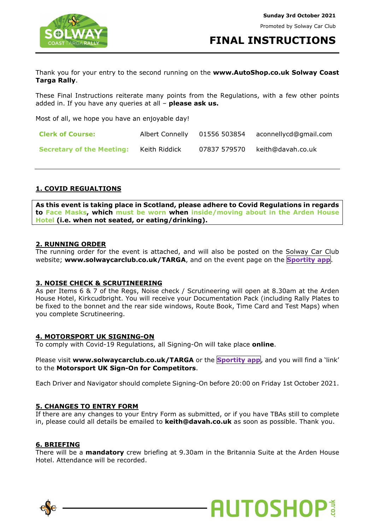

**FINAL INSTRUCTIONS**

**AUTOSHOP®** 

Thank you for your entry to the second running on the **www.AutoShop.co.uk Solway Coast Targa Rally**.

These Final Instructions reiterate many points from the Regulations, with a few other points added in. If you have any queries at all – **please ask us.**

Most of all, we hope you have an enjoyable day!

| <b>Clerk of Course:</b>          | Albert Connelly | 01556 503854 | aconnellycd@gmail.com |
|----------------------------------|-----------------|--------------|-----------------------|
| <b>Secretary of the Meeting:</b> | Keith Riddick   | 07837 579570 | keith@davah.co.uk     |

## **1. COVID REGUALTIONS**

**As this event is taking place in Scotland, please adhere to Covid Regulations in regards to Face Masks, which must be worn when inside/moving about in the Arden House Hotel (i.e. when not seated, or eating/drinking).** 

## **2. RUNNING ORDER**

The running order for the event is attached, and will also be posted on the Solway Car Club website; **www.solwaycarclub.co.uk/TARGA**, and on the event page on the **Sportity app**.

## **3. NOISE CHECK & SCRUTINEERING**

As per Items 6 & 7 of the Regs, Noise check / Scrutineering will open at 8.30am at the Arden House Hotel, Kirkcudbright. You will receive your Documentation Pack (including Rally Plates to be fixed to the bonnet and the rear side windows, Route Book, Time Card and Test Maps) when you complete Scrutineering.

## **4. MOTORSPORT UK SIGNING-ON**

To comply with Covid-19 Regulations, all Signing-On will take place **online**.

Please visit **www.solwaycarclub.co.uk/TARGA** or the **Sportity app**, and you will find a 'link' to the **Motorsport UK Sign-On for Competitors**.

Each Driver and Navigator should complete Signing-On before 20:00 on Friday 1st October 2021.

## **5. CHANGES TO ENTRY FORM**

If there are any changes to your Entry Form as submitted, or if you have TBAs still to complete in, please could all details be emailed to **keith@davah.co.uk** as soon as possible. Thank you.

#### **6. BRIEFING**

There will be a **mandatory** crew briefing at 9.30am in the Britannia Suite at the Arden House Hotel. Attendance will be recorded.

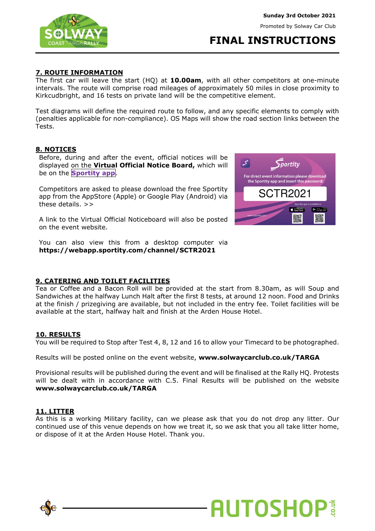Promoted by Solway Car Club



# **FINAL INSTRUCTIONS**

## **7. ROUTE INFORMATION**

The first car will leave the start (HQ) at **10.00am**, with all other competitors at one-minute intervals. The route will comprise road mileages of approximately 50 miles in close proximity to Kirkcudbright, and 16 tests on private land will be the competitive element.

Test diagrams will define the required route to follow, and any specific elements to comply with (penalties applicable for non-compliance). OS Maps will show the road section links between the Tests.

## **8. NOTICES**

Before, during and after the event, official notices will be displayed on the **Virtual Official Notice Board,** which will be on the **Sportity app**.

Competitors are asked to please download the free Sportity app from the AppStore (Apple) or Google Play (Android) via these details. >>

A link to the Virtual Official Noticeboard will also be posted on the event website.

You can also view this from a desktop computer via **https://webapp.sportity.com/channel/SCTR2021**



## **9. CATERING AND TOILET FACILITIES**

Tea or Coffee and a Bacon Roll will be provided at the start from 8.30am, as will Soup and Sandwiches at the halfway Lunch Halt after the first 8 tests, at around 12 noon. Food and Drinks at the finish / prizegiving are available, but not included in the entry fee. Toilet facilities will be available at the start, halfway halt and finish at the Arden House Hotel.

#### **10. RESULTS**

You will be required to Stop after Test 4, 8, 12 and 16 to allow your Timecard to be photographed.

Results will be posted online on the event website, **www.solwaycarclub.co.uk/TARGA**

Provisional results will be published during the event and will be finalised at the Rally HQ. Protests will be dealt with in accordance with C.5. Final Results will be published on the website **www.solwaycarclub.co.uk/TARGA**

## **11. LITTER**

As this is a working Military facility, can we please ask that you do not drop any litter. Our continued use of this venue depends on how we treat it, so we ask that you all take litter home, or dispose of it at the Arden House Hotel. Thank you.